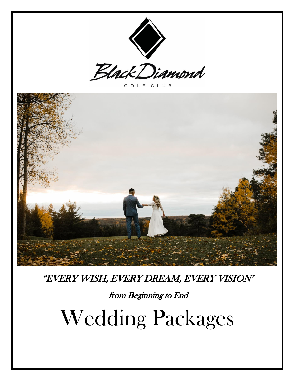



GOLF CLUB



"EVERY WISH, EVERY DREAM, EVERY VISION'

from Beginning to End

Wedding Packages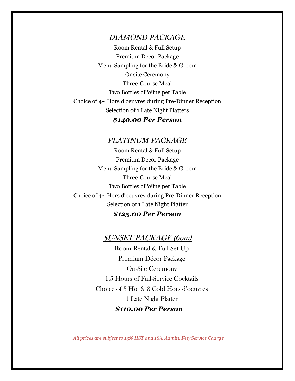#### *DIAMOND PACKAGE*

Room Rental & Full Setup Premium Decor Package Menu Sampling for the Bride & Groom Onsite Ceremony Three-Course Meal Two Bottles of Wine per Table Choice of 4~ Hors d'oeuvres during Pre-Dinner Reception Selection of 1 Late Night Platters

#### *\$140.00 Per Person*

#### *PLATINUM PACKAGE*

Room Rental & Full Setup Premium Decor Package Menu Sampling for the Bride & Groom Three-Course Meal Two Bottles of Wine per Table Choice of 4~ Hors d'oeuvres during Pre-Dinner Reception Selection of 1 Late Night Platter

#### *\$125.00 Per Person*

#### SUNSET PACKAGE (6pm)

Room Rental & Full Set-Up Premium Décor Package On-Site Ceremony 1.5 Hours of Full-Service Cocktails Choice of 3 Hot & 3 Cold Hors d'oeuvres 1 Late Night Platter  *\$110.00 Per Person*

 *All prices are subject to 13% HST and 18% Admin. Fee/Service Charge*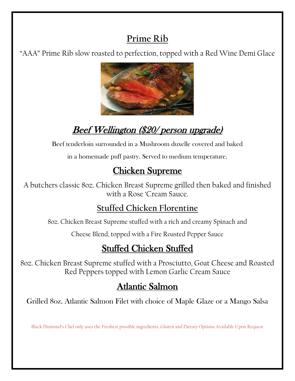## **Prime Rib**

"AAA" Prime Rib slow roasted to perfection, topped with a Red Wine Demi Glace



# Beef [Welling](https://creativecommons.org/licenses/by-nc/3.0/)ton (\$20/ person upgrade)

Beef tenderloin surrounded in a Mushroom duxelle covered and baked

in a homemade puff pastry. Served to medium temperature.

# Chicken Supreme

A butchers classic 8oz. Chicken Breast Supreme grilled then baked and finished with a Rose 'Cream Sauce.

# **Stuffed Chicken Florentine**

8oz. Chicken Breast Supreme stuffed with a rich and creamy Spinach and

Cheese Blend, topped with a Fire Roasted Pepper Sauce

# Stuffed Chicken Stuffed

8oz. Chicken Breast Supreme stuffed with a Prosciutto, Goat Cheese and Roasted Red Peppers topped with Lemon Garlic Cream Sauce

# Atlantic Salmon

Grilled 8oz. Atlantic Salmon Filet with choice of Maple Glaze or a Mango Salsa

Black Diamond's Chef only uses the Freshest possible ingredients, Gluten and Dietary Options Available Upon Request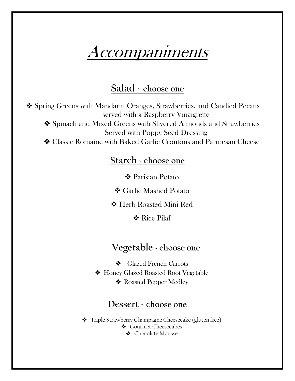# Accompaniments

## **Salad ~ choose one**

❖ Spring Greens with Mandarin Oranges, Strawberries, and Candied Pecans served with a Raspberry Vinaigrette

❖ Spinach and Mixed Greens with Slivered Almonds and Strawberries Served with Poppy Seed Dressing

❖ Classic Romaine with Baked Garlic Croutons and Parmesan Cheese

### **Starch ~ choose one**

Parisian Potato

Garlic Mashed Potato

Herb Roasted Mini Red

**❖ Rice Pilaf** 

## **Vegetable ~ choose one**

❖ Glazed French Carrots ❖ Honey Glazed Roasted Root Vegetable ❖ Roasted Pepper Medley

### **Dessert ~ choose one**

❖ Triple Strawberry Champagne Cheesecake (gluten free)

- ❖ Gourmet Cheesecakes
	- ❖ Chocolate Mousse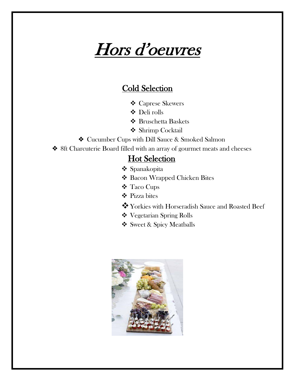# Hors d'oeuvres

### Cold Selection

- Caprese Skewers
- Deli rolls
- Bruschetta Baskets
- **❖** Shrimp Cocktail
- ❖ Cucumber Cups with Dill Sauce & Smoked Salmon
- ❖ 8ft Charcuterie Board filled with an array of gourmet meats and cheeses

## **Hot Selection**

- ❖ Spanakopita
- Bacon Wrapped Chicken Bites
- Taco Cups
- Pizza bites
- Yorkies with Horseradish Sauce and Roasted Beef
- Vegetarian Spring Rolls
- Sweet & Spicy Meatballs

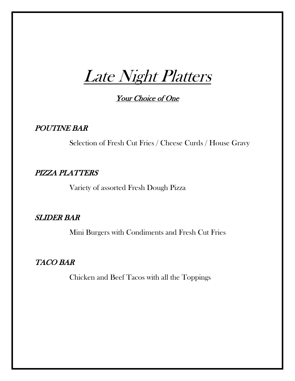Late Night Platters

Your Choice of One

POUTINE BAR

Selection of Fresh Cut Fries / Cheese Curds / House Gravy

#### PIZZA PLATTERS

Variety of assorted Fresh Dough Pizza

#### SLIDER BAR

Mini Burgers with Condiments and Fresh Cut Fries

#### TACO BAR

Chicken and Beef Tacos with all the Toppings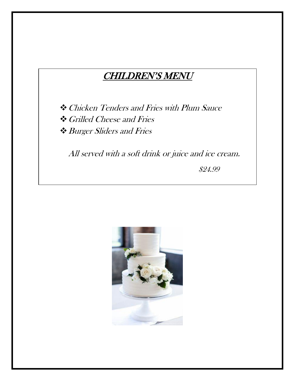## CHILDREN'S MENU

Chicken Tenders and Fries with Plum Sauce Grilled Cheese and Fries Burger Sliders and Fries

All served with a soft drink or juice and ice cream.

\$24.99

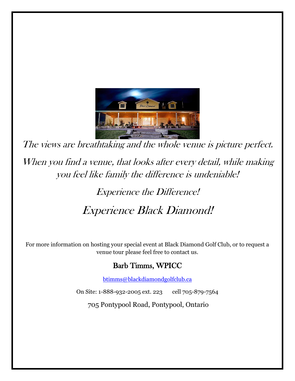

The views are breathtaking and the whole venue is picture perfect. When you find a venue, that looks after every detail, while making you feel like family the difference is undeniable!

# Experience the Difference! Experience Black Diamond!

For more information on hosting your special event at Black Diamond Golf Club, or to request a venue tour please feel free to contact us.

### Barb Timms, WPICC

[btimms@blackdiamondgolfclub.ca](mailto:btimms@blackdiamondgolfclub.ca)

On Site: 1-888-932-2005 ext. 223 cell 705-879-7564

705 Pontypool Road, Pontypool, Ontario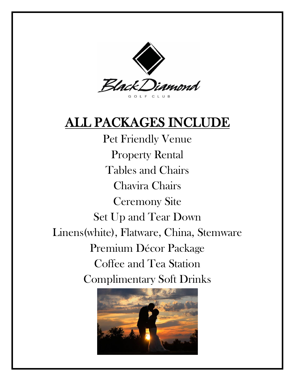

# ALL PACKAGES INCLUDE

Pet Friendly Venue Property Rental Tables and Chairs Chavira Chairs Ceremony Site Set Up and Tear Down Linens(white), Flatware, China, Stemware Premium Décor Package Coffee and Tea Station Complimentary Soft Drinks